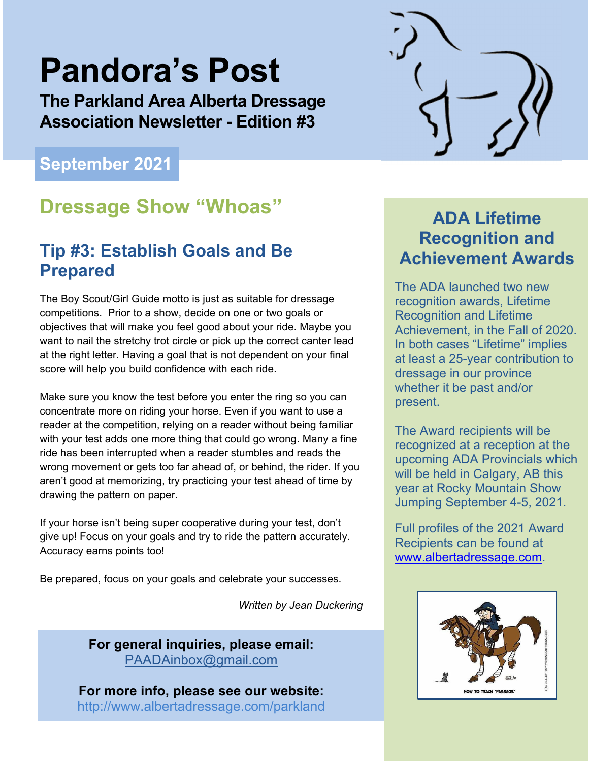# **Pandora's Post**

**The Parkland Area Alberta Dressage Association Newsletter - Edition #3** 

### **September 2021**

## **Dressage Show "Whoas" ADA Lifetime**

### **Tip #3: Establish Goals and Be Prepared**

The Boy Scout/Girl Guide motto is just as suitable for dressage competitions. Prior to a show, decide on one or two goals or objectives that will make you feel good about your ride. Maybe you want to nail the stretchy trot circle or pick up the correct canter lead at the right letter. Having a goal that is not dependent on your final score will help you build confidence with each ride.

Make sure you know the test before you enter the ring so you can concentrate more on riding your horse. Even if you want to use a reader at the competition, relying on a reader without being familiar with your test adds one more thing that could go wrong. Many a fine ride has been interrupted when a reader stumbles and reads the wrong movement or gets too far ahead of, or behind, the rider. If you aren't good at memorizing, try practicing your test ahead of time by drawing the pattern on paper.

If your horse isn't being super cooperative during your test, don't give up! Focus on your goals and try to ride the pattern accurately. Accuracy earns points too!

Be prepared, focus on your goals and celebrate your successes.

*Written by Jean Duckering* 

**For general inquiries, please email:**  PAADAinbox@gmail.com

**For more info, please see our website:** http://www.albertadressage.com/parkland



# **Recognition and Achievement Awards**

The ADA launched two new recognition awards, Lifetime Recognition and Lifetime Achievement, in the Fall of 2020. In both cases "Lifetime" implies at least a 25-year contribution to dressage in our province whether it be past and/or present.

The Award recipients will be recognized at a reception at the upcoming ADA Provincials which will be held in Calgary, AB this year at Rocky Mountain Show Jumping September 4-5, 2021.

Full profiles of the 2021 Award Recipients can be found at www.albertadressage.com.